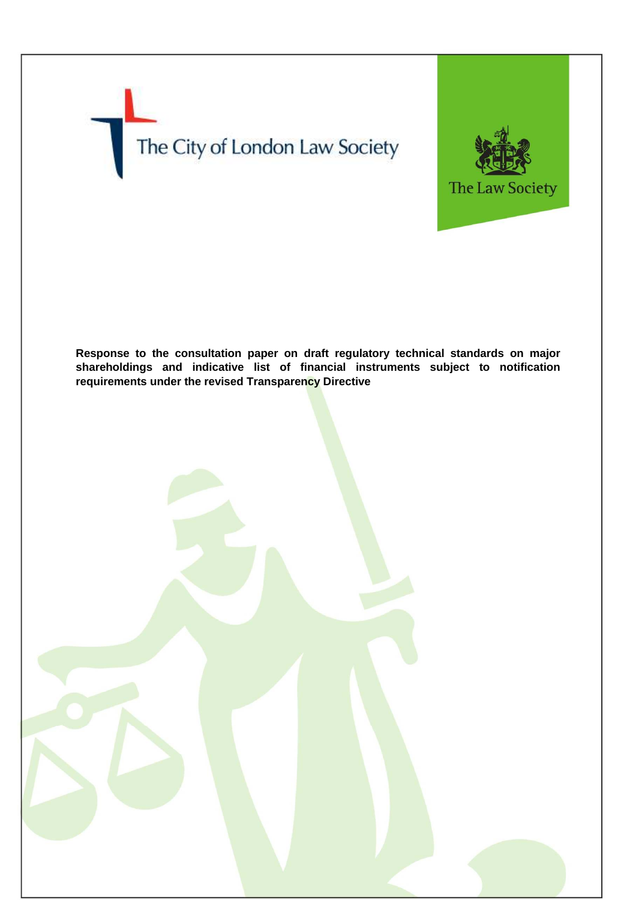



**Response to the consultation paper on draft regulatory technical standards on major shareholdings and indicative list of financial instruments subject to notification requirements under the revised Transparency Directive**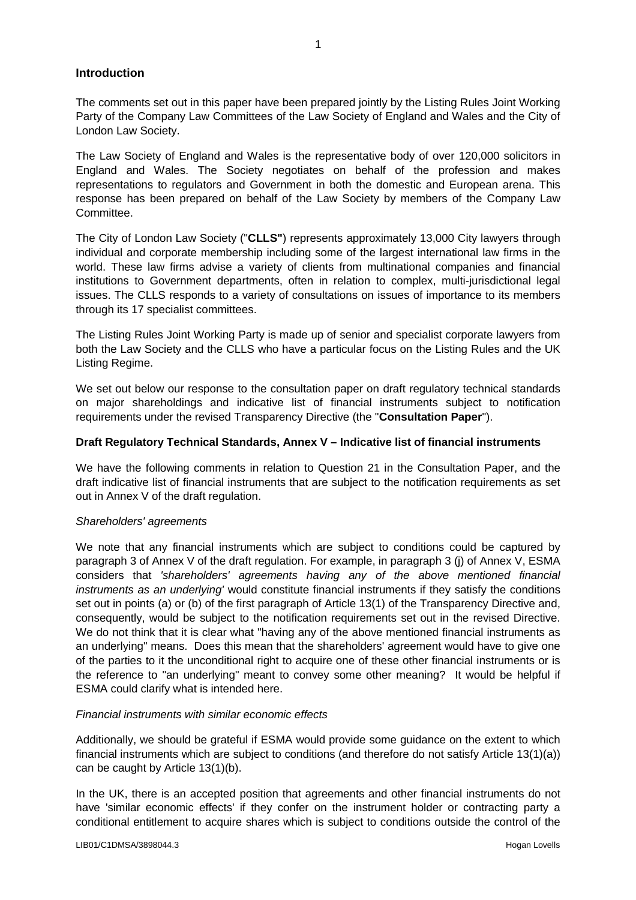# **Introduction**

The comments set out in this paper have been prepared jointly by the Listing Rules Joint Working Party of the Company Law Committees of the Law Society of England and Wales and the City of London Law Society.

The Law Society of England and Wales is the representative body of over 120,000 solicitors in England and Wales. The Society negotiates on behalf of the profession and makes representations to regulators and Government in both the domestic and European arena. This response has been prepared on behalf of the Law Society by members of the Company Law Committee.

The City of London Law Society ("**CLLS"**) represents approximately 13,000 City lawyers through individual and corporate membership including some of the largest international law firms in the world. These law firms advise a variety of clients from multinational companies and financial institutions to Government departments, often in relation to complex, multi-jurisdictional legal issues. The CLLS responds to a variety of consultations on issues of importance to its members through its 17 specialist committees.

The Listing Rules Joint Working Party is made up of senior and specialist corporate lawyers from both the Law Society and the CLLS who have a particular focus on the Listing Rules and the UK Listing Regime.

We set out below our response to the consultation paper on draft regulatory technical standards on major shareholdings and indicative list of financial instruments subject to notification requirements under the revised Transparency Directive (the "**Consultation Paper**").

# **Draft Regulatory Technical Standards, Annex V – Indicative list of financial instruments**

We have the following comments in relation to Question 21 in the Consultation Paper, and the draft indicative list of financial instruments that are subject to the notification requirements as set out in Annex V of the draft regulation.

# *Shareholders' agreements*

We note that any financial instruments which are subject to conditions could be captured by paragraph 3 of Annex V of the draft regulation. For example, in paragraph 3 (j) of Annex V, ESMA considers that *'shareholders' agreements having any of the above mentioned financial instruments as an underlying'* would constitute financial instruments if they satisfy the conditions set out in points (a) or (b) of the first paragraph of Article 13(1) of the Transparency Directive and, consequently, would be subject to the notification requirements set out in the revised Directive. We do not think that it is clear what "having any of the above mentioned financial instruments as an underlying" means. Does this mean that the shareholders' agreement would have to give one of the parties to it the unconditional right to acquire one of these other financial instruments or is the reference to "an underlying" meant to convey some other meaning? It would be helpful if ESMA could clarify what is intended here.

# *Financial instruments with similar economic effects*

Additionally, we should be grateful if ESMA would provide some guidance on the extent to which financial instruments which are subject to conditions (and therefore do not satisfy Article 13(1)(a)) can be caught by Article 13(1)(b).

In the UK, there is an accepted position that agreements and other financial instruments do not have 'similar economic effects' if they confer on the instrument holder or contracting party a conditional entitlement to acquire shares which is subject to conditions outside the control of the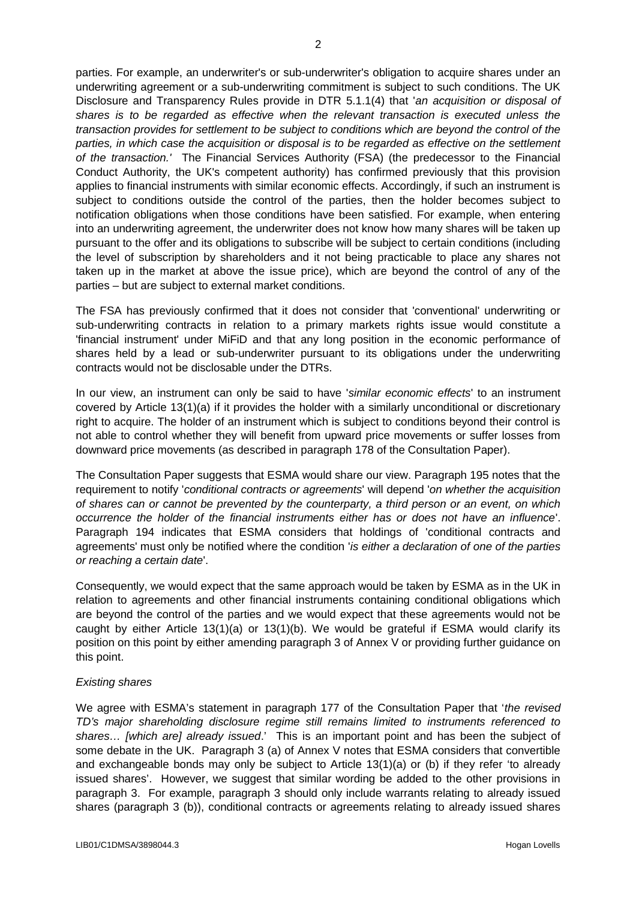parties. For example, an underwriter's or sub-underwriter's obligation to acquire shares under an underwriting agreement or a sub-underwriting commitment is subject to such conditions. The UK Disclosure and Transparency Rules provide in DTR 5.1.1(4) that '*an acquisition or disposal of shares is to be regarded as effective when the relevant transaction is executed unless the transaction provides for settlement to be subject to conditions which are beyond the control of the parties, in which case the acquisition or disposal is to be regarded as effective on the settlement of the transaction.'* The Financial Services Authority (FSA) (the predecessor to the Financial Conduct Authority, the UK's competent authority) has confirmed previously that this provision applies to financial instruments with similar economic effects. Accordingly, if such an instrument is subject to conditions outside the control of the parties, then the holder becomes subject to notification obligations when those conditions have been satisfied. For example, when entering into an underwriting agreement, the underwriter does not know how many shares will be taken up pursuant to the offer and its obligations to subscribe will be subject to certain conditions (including the level of subscription by shareholders and it not being practicable to place any shares not taken up in the market at above the issue price), which are beyond the control of any of the parties – but are subject to external market conditions.

The FSA has previously confirmed that it does not consider that 'conventional' underwriting or sub-underwriting contracts in relation to a primary markets rights issue would constitute a 'financial instrument' under MiFiD and that any long position in the economic performance of shares held by a lead or sub-underwriter pursuant to its obligations under the underwriting contracts would not be disclosable under the DTRs.

In our view, an instrument can only be said to have '*similar economic effects*' to an instrument covered by Article 13(1)(a) if it provides the holder with a similarly unconditional or discretionary right to acquire. The holder of an instrument which is subject to conditions beyond their control is not able to control whether they will benefit from upward price movements or suffer losses from downward price movements (as described in paragraph 178 of the Consultation Paper).

The Consultation Paper suggests that ESMA would share our view. Paragraph 195 notes that the requirement to notify '*conditional contracts or agreements*' will depend '*on whether the acquisition of shares can or cannot be prevented by the counterparty, a third person or an event, on which occurrence the holder of the financial instruments either has or does not have an influence*'. Paragraph 194 indicates that ESMA considers that holdings of 'conditional contracts and agreements' must only be notified where the condition '*is either a declaration of one of the parties or reaching a certain date*'.

Consequently, we would expect that the same approach would be taken by ESMA as in the UK in relation to agreements and other financial instruments containing conditional obligations which are beyond the control of the parties and we would expect that these agreements would not be caught by either Article 13(1)(a) or 13(1)(b). We would be grateful if ESMA would clarify its position on this point by either amending paragraph 3 of Annex V or providing further guidance on this point.

# *Existing shares*

We agree with ESMA's statement in paragraph 177 of the Consultation Paper that '*the revised TD's major shareholding disclosure regime still remains limited to instruments referenced to shares… [which are] already issued*.' This is an important point and has been the subject of some debate in the UK. Paragraph 3 (a) of Annex V notes that ESMA considers that convertible and exchangeable bonds may only be subject to Article 13(1)(a) or (b) if they refer 'to already issued shares'. However, we suggest that similar wording be added to the other provisions in paragraph 3. For example, paragraph 3 should only include warrants relating to already issued shares (paragraph 3 (b)), conditional contracts or agreements relating to already issued shares